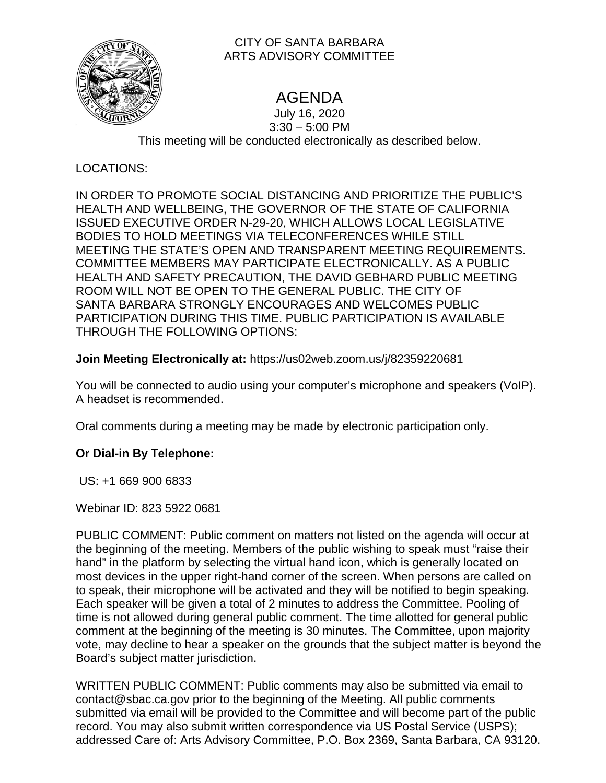

# CITY OF SANTA BARBARA ARTS ADVISORY COMMITTEE

# AGENDA

July 16, 2020 3:30 – 5:00 PM This meeting will be conducted electronically as described below.

# LOCATIONS:

IN ORDER TO PROMOTE SOCIAL DISTANCING AND PRIORITIZE THE PUBLIC'S HEALTH AND WELLBEING, THE GOVERNOR OF THE STATE OF CALIFORNIA ISSUED EXECUTIVE ORDER N-29-20, WHICH ALLOWS LOCAL LEGISLATIVE BODIES TO HOLD MEETINGS VIA TELECONFERENCES WHILE STILL MEETING THE STATE'S OPEN AND TRANSPARENT MEETING REQUIREMENTS. COMMITTEE MEMBERS MAY PARTICIPATE ELECTRONICALLY. AS A PUBLIC HEALTH AND SAFETY PRECAUTION, THE DAVID GEBHARD PUBLIC MEETING ROOM WILL NOT BE OPEN TO THE GENERAL PUBLIC. THE CITY OF SANTA BARBARA STRONGLY ENCOURAGES AND WELCOMES PUBLIC PARTICIPATION DURING THIS TIME. PUBLIC PARTICIPATION IS AVAILABLE THROUGH THE FOLLOWING OPTIONS:

# **Join Meeting Electronically at:** https://us02web.zoom.us/j/82359220681

You will be connected to audio using your computer's microphone and speakers (VoIP). A headset is recommended.

Oral comments during a meeting may be made by electronic participation only.

# **Or Dial-in By Telephone:**

US: +1 669 900 6833

Webinar ID: 823 5922 0681

PUBLIC COMMENT: Public comment on matters not listed on the agenda will occur at the beginning of the meeting. Members of the public wishing to speak must "raise their hand" in the platform by selecting the virtual hand icon, which is generally located on most devices in the upper right-hand corner of the screen. When persons are called on to speak, their microphone will be activated and they will be notified to begin speaking. Each speaker will be given a total of 2 minutes to address the Committee. Pooling of time is not allowed during general public comment. The time allotted for general public comment at the beginning of the meeting is 30 minutes. The Committee, upon majority vote, may decline to hear a speaker on the grounds that the subject matter is beyond the Board's subject matter jurisdiction.

WRITTEN PUBLIC COMMENT: Public comments may also be submitted via email to contact@sbac.ca.gov prior to the beginning of the Meeting. All public comments submitted via email will be provided to the Committee and will become part of the public record. You may also submit written correspondence via US Postal Service (USPS); addressed Care of: Arts Advisory Committee, P.O. Box 2369, Santa Barbara, CA 93120.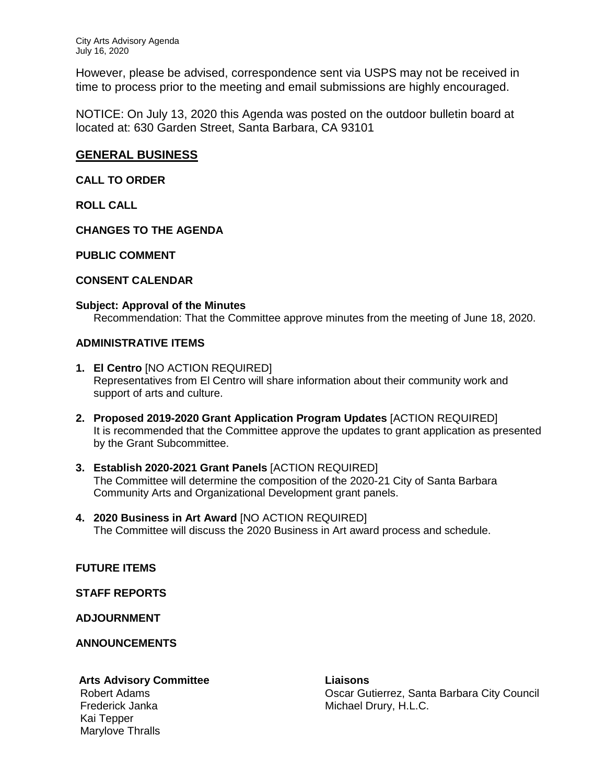However, please be advised, correspondence sent via USPS may not be received in time to process prior to the meeting and email submissions are highly encouraged.

NOTICE: On July 13, 2020 this Agenda was posted on the outdoor bulletin board at located at: 630 Garden Street, Santa Barbara, CA 93101

## **GENERAL BUSINESS**

**CALL TO ORDER** 

**ROLL CALL**

**CHANGES TO THE AGENDA**

**PUBLIC COMMENT**

### **CONSENT CALENDAR**

#### **Subject: Approval of the Minutes**

Recommendation: That the Committee approve minutes from the meeting of June 18, 2020.

#### **ADMINISTRATIVE ITEMS**

- **1. El Centro** [NO ACTION REQUIRED] Representatives from El Centro will share information about their community work and support of arts and culture.
- **2. Proposed 2019-2020 Grant Application Program Updates** [ACTION REQUIRED] It is recommended that the Committee approve the updates to grant application as presented by the Grant Subcommittee.
- **3. Establish 2020-2021 Grant Panels** [ACTION REQUIRED] The Committee will determine the composition of the 2020-21 City of Santa Barbara Community Arts and Organizational Development grant panels.
- **4. 2020 Business in Art Award** [NO ACTION REQUIRED] The Committee will discuss the 2020 Business in Art award process and schedule.

### **FUTURE ITEMS**

**STAFF REPORTS**

**ADJOURNMENT**

**ANNOUNCEMENTS** 

### **Arts Advisory Committee Liaisons**

Kai Tepper Marylove Thralls

Robert Adams **Canadian City Council** Council Council Council Council Council Council Council Council Council Council Frederick Janka Michael Drury, H.L.C.